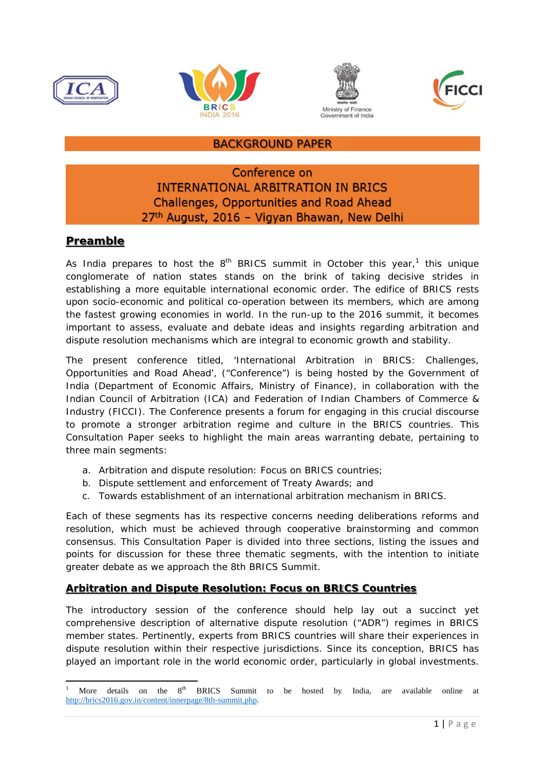







### BACKGROUND PAPER

# Conference on **INTERNATIONAL ARBITRATION IN BRICS Challenges, Opportunities and Road Ahead** 27<sup>th</sup> August, 2016 - Vigyan Bhawan, New Delhi

### **Preamble**

As India prepares to host the  $8<sup>th</sup>$  BRICS summit in October this year,<sup>1</sup> this unique conglomerate of nation states stands on the brink of taking decisive strides in establishing a more equitable international economic order. The edifice of BRICS rests upon socio-economic and political co-operation between its members, which are among the fastest growing economies in world. In the run-up to the 2016 summit, it becomes important to assess, evaluate and debate ideas and insights regarding arbitration and dispute resolution mechanisms which are integral to economic growth and stability.

The present conference titled*, 'International Arbitration in BRICS: Challenges, Opportunities and Road Ahead*', ("Conference") is being hosted by the Government of India (Department of Economic Affairs, Ministry of Finance), in collaboration with the Indian Council of Arbitration (ICA) and Federation of Indian Chambers of Commerce & Industry (FICCI). The Conference presents a forum for engaging in this crucial discourse to promote a stronger arbitration regime and culture in the BRICS countries. This Consultation Paper seeks to highlight the main areas warranting debate, pertaining to three main segments:

- a. Arbitration and dispute resolution: Focus on BRICS countries;
- b. Dispute settlement and enforcement of Treaty Awards; and
- c. Towards establishment of an international arbitration mechanism in BRICS.

Each of these segments has its respective concerns needing deliberations reforms and resolution, which must be achieved through cooperative brainstorming and common consensus. This Consultation Paper is divided into three sections, listing the issues and points for discussion for these three thematic segments, with the intention to initiate greater debate as we approach the 8th BRICS Summit.

#### **Arbitration and Dispute Resolution: Focus on BRICS Countries**

The introductory session of the conference should help lay out a succinct yet comprehensive description of alternative dispute resolution ("ADR") regimes in BRICS member states. Pertinently, experts from BRICS countries will share their experiences in dispute resolution within their respective jurisdictions. Since its conception, BRICS has played an important role in the world economic order, particularly in global investments.

 1 More details on the  $8<sup>th</sup>$  BRICS Summit to be hosted by India, are available online at http://brics2016.gov.in/content/innerpage/8th-summit.php.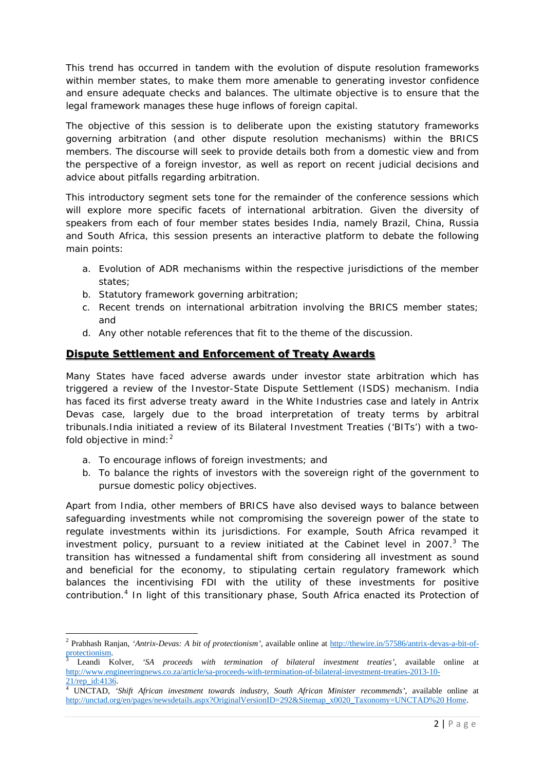This trend has occurred in tandem with the evolution of dispute resolution frameworks within member states, to make them more amenable to generating investor confidence and ensure adequate checks and balances. The ultimate objective is to ensure that the legal framework manages these huge inflows of foreign capital.

The objective of this session is to deliberate upon the existing statutory frameworks governing arbitration (and other dispute resolution mechanisms) within the BRICS members. The discourse will seek to provide details both from a domestic view and from the perspective of a foreign investor, as well as report on recent judicial decisions and advice about pitfalls regarding arbitration.

This introductory segment sets tone for the remainder of the conference sessions which will explore more specific facets of international arbitration. Given the diversity of speakers from each of four member states besides India, namely Brazil, China, Russia and South Africa, this session presents an interactive platform to debate the following main points:

- a. Evolution of ADR mechanisms within the respective jurisdictions of the member states;
- b. Statutory framework governing arbitration;
- c. Recent trends on international arbitration involving the BRICS member states; and
- d. Any other notable references that fit to the theme of the discussion.

#### **Dispute Settlement and Enforcement of Treaty Awards**

Many States have faced adverse awards under investor state arbitration which has triggered a review of the Investor-State Dispute Settlement (ISDS) mechanism. India has faced its first adverse treaty award in the *White Industries* case and lately in *Antrix Devas* case, largely due to the broad interpretation of treaty terms by arbitral tribunals.India initiated a review of its Bilateral Investment Treaties ('BITs') with a twofold objective in mind:  $2^2$ 

a. To encourage inflows of foreign investments; and

b. To balance the rights of investors with the sovereign right of the government to pursue domestic policy objectives.

Apart from India, other members of BRICS have also devised ways to balance between safeguarding investments while not compromising the sovereign power of the state to regulate investments within its jurisdictions. For example, South Africa revamped it investment policy, pursuant to a review initiated at the Cabinet level in 2007. $3$  The transition has witnessed a fundamental shift from considering all investment as sound and beneficial for the economy, to stipulating certain regulatory framework which balances the incentivising FDI with the utility of these investments for positive contribution.<sup>4</sup> In light of this transitionary phase, South Africa enacted its Protection of

<sup>2</sup> Prabhash Ranjan, *'Antrix-Devas: A bit of protectionism'*, available online at http://thewire.in/57586/antrix-devas-a-bit-ofprotectionism. 3

Leandi Kolver, *'SA proceeds with termination of bilateral investment treaties'*, available online at http://www.engineeringnews.co.za/article/sa-proceeds-with-termination-of-bilateral-investment-treaties-2013-10-

<sup>21/</sup>rep\_id:4136. 4 UNCTAD, *'Shift African investment towards industry, South African Minister recommends'*, available online at http://unctad.org/en/pages/newsdetails.aspx?OriginalVersionID=292&Sitemap\_x0020\_Taxonomy=UNCTAD%20 Home.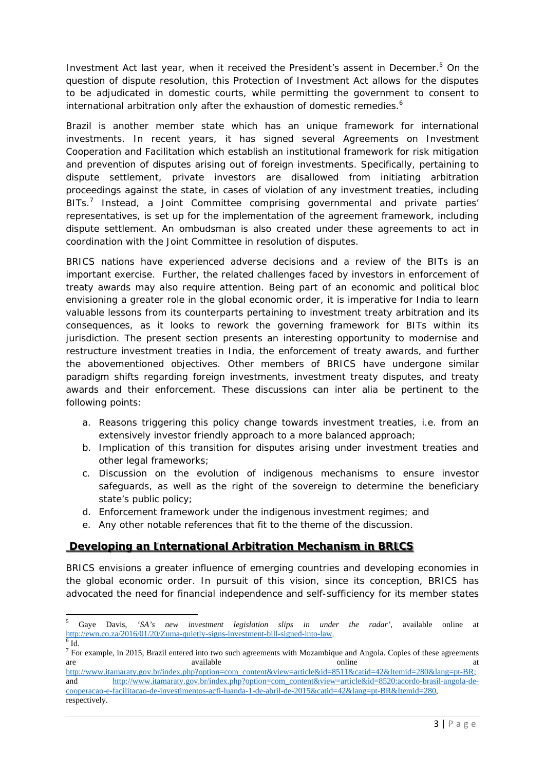Investment Act last year, when it received the President's assent in December.<sup>5</sup> On the question of dispute resolution, this Protection of Investment Act allows for the disputes to be adjudicated in domestic courts, while permitting the government to consent to international arbitration only after the exhaustion of domestic remedies.<sup>6</sup>

Brazil is another member state which has an unique framework for international investments. In recent years, it has signed several Agreements on *Investment Cooperation and Facilitation* which establish an institutional framework for risk mitigation and prevention of disputes arising out of foreign investments. Specifically, pertaining to dispute settlement, private investors are disallowed from initiating arbitration proceedings against the state, in cases of violation of any investment treaties, including BITs.<sup>7</sup> Instead, a Joint Committee comprising governmental and private parties' representatives, is set up for the implementation of the agreement framework, including dispute settlement. An ombudsman is also created under these agreements to act in coordination with the Joint Committee in resolution of disputes.

BRICS nations have experienced adverse decisions and a review of the BITs is an important exercise. Further, the related challenges faced by investors in enforcement of treaty awards may also require attention. Being part of an economic and political bloc envisioning a greater role in the global economic order, it is imperative for India to learn valuable lessons from its counterparts pertaining to investment treaty arbitration and its consequences, as it looks to rework the governing framework for BITs within its jurisdiction. The present section presents an interesting opportunity to modernise and restructure investment treaties in India, the enforcement of treaty awards, and further the abovementioned objectives. Other members of BRICS have undergone similar paradigm shifts regarding foreign investments, investment treaty disputes, and treaty awards and their enforcement. These discussions can *inter alia* be pertinent to the following points:

- a. Reasons triggering this policy change towards investment treaties, i.e. from an extensively investor friendly approach to a more balanced approach;
- b. Implication of this transition for disputes arising under investment treaties and other legal frameworks;
- c. Discussion on the evolution of indigenous mechanisms to ensure investor safeguards, as well as the right of the sovereign to determine the beneficiary state's public policy;
- d. Enforcement framework under the indigenous investment regimes; and
- e. Any other notable references that fit to the theme of the discussion.

## **Developing an International Arbitration Mechanism in BRICS**

BRICS envisions a greater influence of emerging countries and developing economies in the global economic order. In pursuit of this vision, since its conception, BRICS has advocated the need for financial independence and self-sufficiency for its member states

<sup>5</sup> Gaye Davis, *'SA's new investment legislation slips in under the radar'*, available online at http://ewn.co.za/2016/01/20/Zuma-quietly-signs-investment-bill-signed-into-law. 6  $6$  Id.

 $<sup>7</sup>$  For example, in 2015, Brazil entered into two such agreements with Mozambique and Angola. Copies of these agreements</sup> are available available and a variable at the set of the set of the set of the set of the set of the set of the set of the set of the set of the set of the set of the set of the set of the set of the set of the set of the

http://www.itamaraty.gov.br/index.php?option=com\_content&view=article&id=8511&catid=42&Itemid=280&lang=pt-BR; and http://www.itamaraty.gov.br/index.php?option=com\_content&view=article&id=8520:acordo-brasil-angola-decooperacao-e-facilitacao-de-investimentos-acfi-luanda-1-de-abril-de-2015&catid=42&lang=pt-BR&Itemid=280, respectively.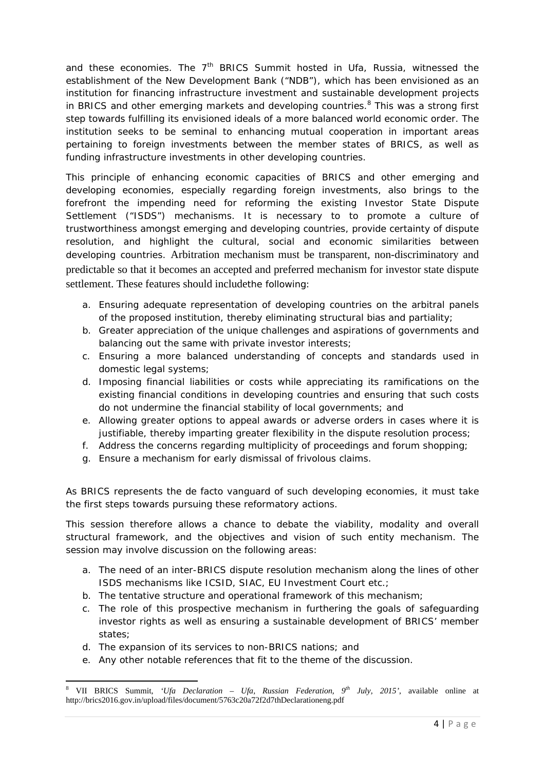and these economies. The 7<sup>th</sup> BRICS Summit hosted in Ufa, Russia, witnessed the establishment of the New Development Bank ("NDB"), which has been envisioned as an institution for financing infrastructure investment and sustainable development projects in BRICS and other emerging markets and developing countries.<sup>8</sup> This was a strong first step towards fulfilling its envisioned ideals of a more balanced world economic order. The institution seeks to be seminal to enhancing mutual cooperation in important areas pertaining to foreign investments between the member states of BRICS, as well as funding infrastructure investments in other developing countries.

This principle of enhancing economic capacities of BRICS and other emerging and developing economies, especially regarding foreign investments, also brings to the forefront the impending need for reforming the existing Investor State Dispute Settlement ("ISDS") mechanisms. It is necessary to to promote a culture of trustworthiness amongst emerging and developing countries, provide certainty of dispute resolution, and highlight the cultural, social and economic similarities between developing countries. Arbitration mechanism must be transparent, non-discriminatory and predictable so that it becomes an accepted and preferred mechanism for investor state dispute settlement. These features should includethe following:

- a. Ensuring adequate representation of developing countries on the arbitral panels of the proposed institution, thereby eliminating structural bias and partiality;
- b. Greater appreciation of the unique challenges and aspirations of governments and balancing out the same with private investor interests;
- c. Ensuring a more balanced understanding of concepts and standards used in domestic legal systems;
- d. Imposing financial liabilities or costs while appreciating its ramifications on the existing financial conditions in developing countries and ensuring that such costs do not undermine the financial stability of local governments; and
- e. Allowing greater options to appeal awards or adverse orders in cases where it is justifiable, thereby imparting greater flexibility in the dispute resolution process;
- f. Address the concerns regarding multiplicity of proceedings and forum shopping;
- g. Ensure a mechanism for early dismissal of frivolous claims.

As BRICS represents the *de facto* vanguard of such developing economies, it must take the first steps towards pursuing these reformatory actions.

This session therefore allows a chance to debate the viability, modality and overall structural framework, and the objectives and vision of such entity mechanism. The session may involve discussion on the following areas:

- a. The need of an inter-BRICS dispute resolution mechanism along the lines of other ISDS mechanisms like ICSID, SIAC, EU Investment Court etc.;
- b. The tentative structure and operational framework of this mechanism;
- c. The role of this prospective mechanism in furthering the goals of safeguarding investor rights as well as ensuring a sustainable development of BRICS' member states;
- d. The expansion of its services to non-BRICS nations; and
- e. Any other notable references that fit to the theme of the discussion.

 8 VII BRICS Summit, *'Ufa Declaration – Ufa, Russian Federation, 9th July, 2015'*, available online at http://brics2016.gov.in/upload/files/document/5763c20a72f2d7thDeclarationeng.pdf